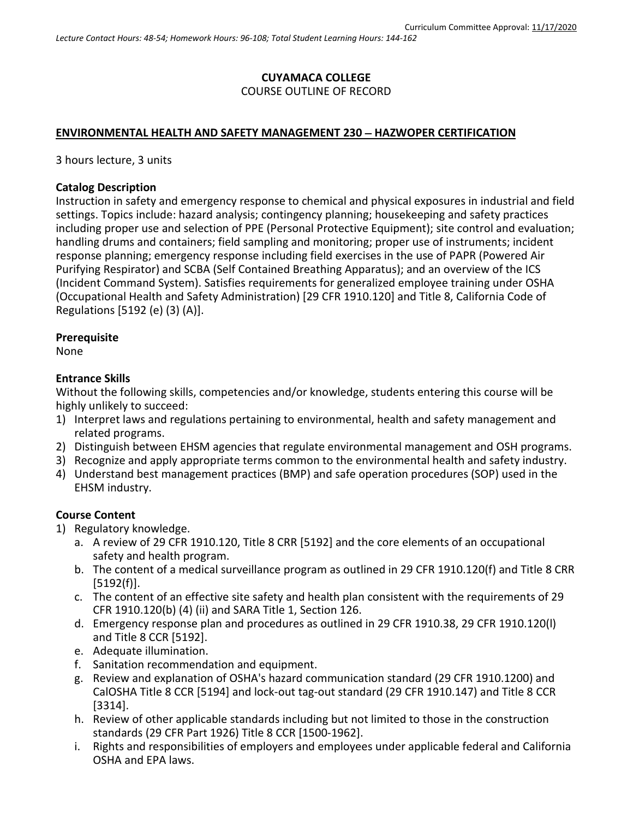## **CUYAMACA COLLEGE** COURSE OUTLINE OF RECORD

### **ENVIRONMENTAL HEALTH AND SAFETY MANAGEMENT 230** − **HAZWOPER CERTIFICATION**

3 hours lecture, 3 units

#### **Catalog Description**

Instruction in safety and emergency response to chemical and physical exposures in industrial and field settings. Topics include: hazard analysis; contingency planning; housekeeping and safety practices including proper use and selection of PPE (Personal Protective Equipment); site control and evaluation; handling drums and containers; field sampling and monitoring; proper use of instruments; incident response planning; emergency response including field exercises in the use of PAPR (Powered Air Purifying Respirator) and SCBA (Self Contained Breathing Apparatus); and an overview of the ICS (Incident Command System). Satisfies requirements for generalized employee training under OSHA (Occupational Health and Safety Administration) [29 CFR 1910.120] and Title 8, California Code of Regulations [5192 (e) (3) (A)].

#### **Prerequisite**

None

#### **Entrance Skills**

Without the following skills, competencies and/or knowledge, students entering this course will be highly unlikely to succeed:

- 1) Interpret laws and regulations pertaining to environmental, health and safety management and related programs.
- 2) Distinguish between EHSM agencies that regulate environmental management and OSH programs.
- 3) Recognize and apply appropriate terms common to the environmental health and safety industry.
- 4) Understand best management practices (BMP) and safe operation procedures (SOP) used in the EHSM industry.

### **Course Content**

- 1) Regulatory knowledge.
	- a. A review of 29 CFR 1910.120, Title 8 CRR [5192] and the core elements of an occupational safety and health program.
	- b. The content of a medical surveillance program as outlined in 29 CFR 1910.120(f) and Title 8 CRR [5192(f)].
	- c. The content of an effective site safety and health plan consistent with the requirements of 29 CFR 1910.120(b) (4) (ii) and SARA Title 1, Section 126.
	- d. Emergency response plan and procedures as outlined in 29 CFR 1910.38, 29 CFR 1910.120(l) and Title 8 CCR [5192].
	- e. Adequate illumination.
	- f. Sanitation recommendation and equipment.
	- g. Review and explanation of OSHA's hazard communication standard (29 CFR 1910.1200) and CalOSHA Title 8 CCR [5194] and lock-out tag-out standard (29 CFR 1910.147) and Title 8 CCR [3314].
	- h. Review of other applicable standards including but not limited to those in the construction standards (29 CFR Part 1926) Title 8 CCR [1500-1962].
	- i. Rights and responsibilities of employers and employees under applicable federal and California OSHA and EPA laws.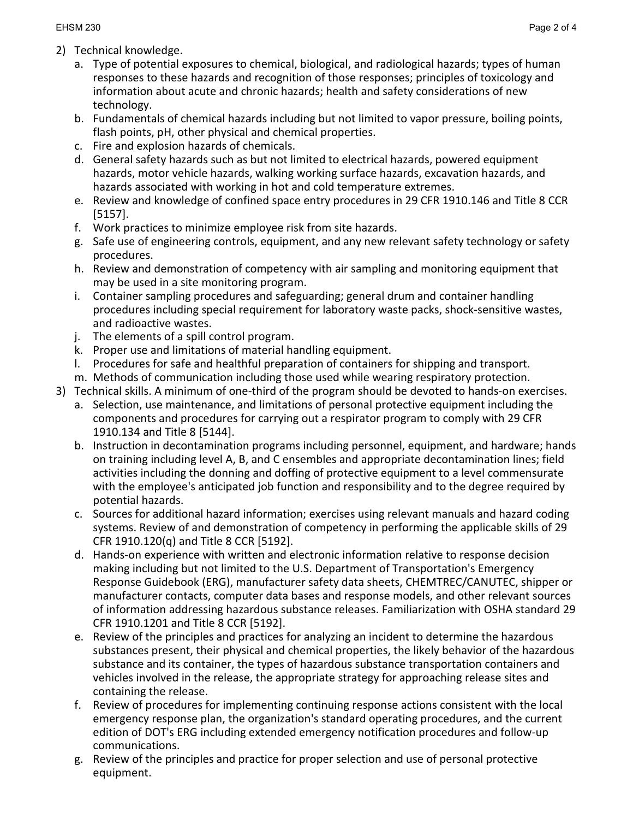- 2) Technical knowledge.
	- a. Type of potential exposures to chemical, biological, and radiological hazards; types of human responses to these hazards and recognition of those responses; principles of toxicology and information about acute and chronic hazards; health and safety considerations of new technology.
	- b. Fundamentals of chemical hazards including but not limited to vapor pressure, boiling points, flash points, pH, other physical and chemical properties.
	- c. Fire and explosion hazards of chemicals.
	- d. General safety hazards such as but not limited to electrical hazards, powered equipment hazards, motor vehicle hazards, walking working surface hazards, excavation hazards, and hazards associated with working in hot and cold temperature extremes.
	- e. Review and knowledge of confined space entry procedures in 29 CFR 1910.146 and Title 8 CCR [5157].
	- f. Work practices to minimize employee risk from site hazards.
	- g. Safe use of engineering controls, equipment, and any new relevant safety technology or safety procedures.
	- h. Review and demonstration of competency with air sampling and monitoring equipment that may be used in a site monitoring program.
	- i. Container sampling procedures and safeguarding; general drum and container handling procedures including special requirement for laboratory waste packs, shock-sensitive wastes, and radioactive wastes.
	- j. The elements of a spill control program.
	- k. Proper use and limitations of material handling equipment.
	- l. Procedures for safe and healthful preparation of containers for shipping and transport.
	- m. Methods of communication including those used while wearing respiratory protection.
- 3) Technical skills. A minimum of one-third of the program should be devoted to hands-on exercises.
	- a. Selection, use maintenance, and limitations of personal protective equipment including the components and procedures for carrying out a respirator program to comply with 29 CFR 1910.134 and Title 8 [5144].
	- b. Instruction in decontamination programs including personnel, equipment, and hardware; hands on training including level A, B, and C ensembles and appropriate decontamination lines; field activities including the donning and doffing of protective equipment to a level commensurate with the employee's anticipated job function and responsibility and to the degree required by potential hazards.
	- c. Sources for additional hazard information; exercises using relevant manuals and hazard coding systems. Review of and demonstration of competency in performing the applicable skills of 29 CFR 1910.120(q) and Title 8 CCR [5192].
	- d. Hands-on experience with written and electronic information relative to response decision making including but not limited to the U.S. Department of Transportation's Emergency Response Guidebook (ERG), manufacturer safety data sheets, CHEMTREC/CANUTEC, shipper or manufacturer contacts, computer data bases and response models, and other relevant sources of information addressing hazardous substance releases. Familiarization with OSHA standard 29 CFR 1910.1201 and Title 8 CCR [5192].
	- e. Review of the principles and practices for analyzing an incident to determine the hazardous substances present, their physical and chemical properties, the likely behavior of the hazardous substance and its container, the types of hazardous substance transportation containers and vehicles involved in the release, the appropriate strategy for approaching release sites and containing the release.
	- f. Review of procedures for implementing continuing response actions consistent with the local emergency response plan, the organization's standard operating procedures, and the current edition of DOT's ERG including extended emergency notification procedures and follow-up communications.
	- g. Review of the principles and practice for proper selection and use of personal protective equipment.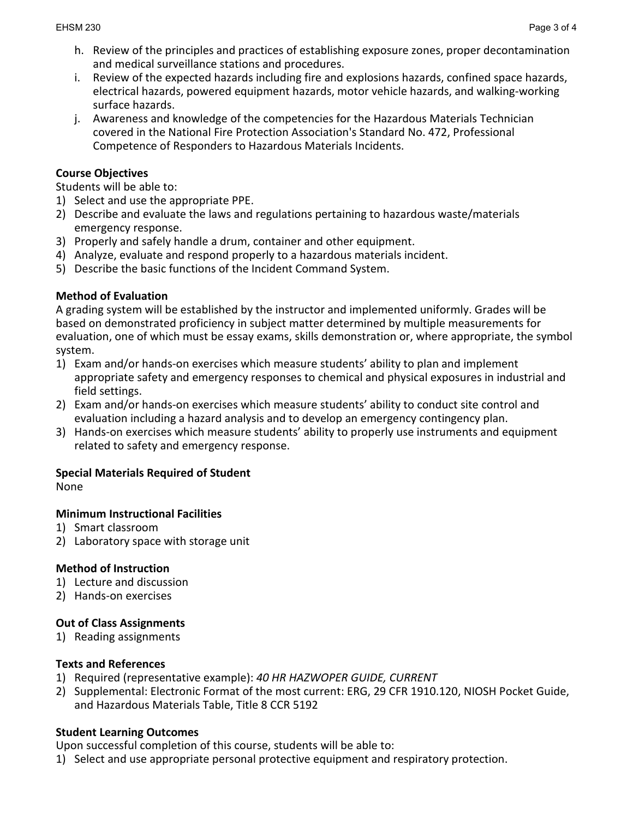- h. Review of the principles and practices of establishing exposure zones, proper decontamination and medical surveillance stations and procedures.
- i. Review of the expected hazards including fire and explosions hazards, confined space hazards, electrical hazards, powered equipment hazards, motor vehicle hazards, and walking-working surface hazards.
- j. Awareness and knowledge of the competencies for the Hazardous Materials Technician covered in the National Fire Protection Association's Standard No. 472, Professional Competence of Responders to Hazardous Materials Incidents.

## **Course Objectives**

Students will be able to:

- 1) Select and use the appropriate PPE.
- 2) Describe and evaluate the laws and regulations pertaining to hazardous waste/materials emergency response.
- 3) Properly and safely handle a drum, container and other equipment.
- 4) Analyze, evaluate and respond properly to a hazardous materials incident.
- 5) Describe the basic functions of the Incident Command System.

## **Method of Evaluation**

A grading system will be established by the instructor and implemented uniformly. Grades will be based on demonstrated proficiency in subject matter determined by multiple measurements for evaluation, one of which must be essay exams, skills demonstration or, where appropriate, the symbol system.

- 1) Exam and/or hands-on exercises which measure students' ability to plan and implement appropriate safety and emergency responses to chemical and physical exposures in industrial and field settings.
- 2) Exam and/or hands-on exercises which measure students' ability to conduct site control and evaluation including a hazard analysis and to develop an emergency contingency plan.
- 3) Hands-on exercises which measure students' ability to properly use instruments and equipment related to safety and emergency response.

### **Special Materials Required of Student**

None

### **Minimum Instructional Facilities**

- 1) Smart classroom
- 2) Laboratory space with storage unit

# **Method of Instruction**

- 1) Lecture and discussion
- 2) Hands-on exercises

# **Out of Class Assignments**

1) Reading assignments

### **Texts and References**

- 1) Required (representative example): *40 HR HAZWOPER GUIDE, CURRENT*
- 2) Supplemental: Electronic Format of the most current: ERG, 29 CFR 1910.120, NIOSH Pocket Guide, and Hazardous Materials Table, Title 8 CCR 5192

### **Student Learning Outcomes**

Upon successful completion of this course, students will be able to:

1) Select and use appropriate personal protective equipment and respiratory protection.